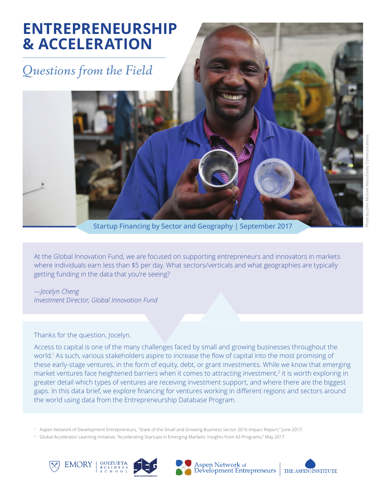# **ENTREPRENEURSHIP & ACCELERATION**

# *Questions from the Field*

**Startup Financing by Sector and Geography | September 2017**

At the Global Innovation Fund, we are focused on supporting entrepreneurs and innovators in markets where individuals earn less than \$5 per day. What sectors/verticals and what geographies are typically getting funding in the data that you're seeing?

*—Jocelyn Cheng Investment Director, Global Innovation Fund*

### Thanks for the question, Jocelyn.

Access to capital is one of the many challenges faced by small and growing businesses throughout the world.<sup>1</sup> As such, various stakeholders aspire to increase the flow of capital into the most promising of these early-stage ventures, in the form of equity, debt, or grant investments. While we know that emerging market ventures face heightened barriers when it comes to attracting investment,<sup>2</sup> it is worth exploring in greater detail which types of ventures are receiving investment support, and where there are the biggest gaps. In this data brief, we explore financing for ventures working in different regions and sectors around the world using data from the Entrepreneurship Database Program.

1 Aspen Network of Development Entrepreneurs, "State of the Small and Growing Business Sector 2016 Impact Report," June 2017.

2 Global Accelerator Learning Initiative, "Accelerating Startups in Emerging Markets: Insights from 43 Programs," May 2017.









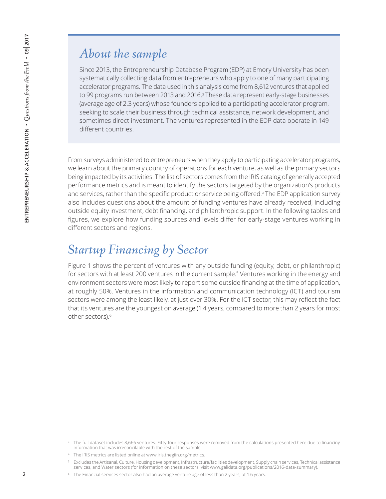### *About the sample*

Since 2013, the Entrepreneurship Database Program (EDP) at Emory University has been systematically collecting data from entrepreneurs who apply to one of many participating accelerator programs. The data used in this analysis come from 8,612 ventures that applied to 99 programs run between 2013 and 2016.<sup>3</sup> These data represent early-stage businesses (average age of 2.3 years) whose founders applied to a participating accelerator program, seeking to scale their business through technical assistance, network development, and sometimes direct investment. The ventures represented in the EDP data operate in 149 different countries.

From surveys administered to entrepreneurs when they apply to participating accelerator programs, we learn about the primary country of operations for each venture, as well as the primary sectors being impacted by its activities. The list of sectors comes from the IRIS catalog of generally accepted performance metrics and is meant to identify the sectors targeted by the organization's products and services, rather than the specific product or service being offered.<sup>4</sup> The EDP application survey also includes questions about the amount of funding ventures have already received, including outside equity investment, debt financing, and philanthropic support. In the following tables and figures, we explore how funding sources and levels differ for early-stage ventures working in different sectors and regions.

## *Startup Financing by Sector*

Figure 1 shows the percent of ventures with any outside funding (equity, debt, or philanthropic) for sectors with at least 200 ventures in the current sample.<sup>5</sup> Ventures working in the energy and environment sectors were most likely to report some outside financing at the time of application, at roughly 50%. Ventures in the information and communication technology (ICT) and tourism sectors were among the least likely, at just over 30%. For the ICT sector, this may reflect the fact that its ventures are the youngest on average (1.4 years, compared to more than 2 years for most other sectors).6

<sup>&</sup>lt;sup>3</sup> The full dataset includes 8,666 ventures. Fifty-four responses were removed from the calculations presented here due to financing information that was irreconcilable with the rest of the sample.

<sup>4</sup> The IRIS metrics are listed online at www.iris.thegiin.org/metrics.

<sup>5</sup> Excludes the Artisanal, Culture, Housing development, Infrastructure/facilities development, Supply chain services, Technical assistance services, and Water sectors (for information on these sectors, visit www.galidata.org/publications/2016-data-summary).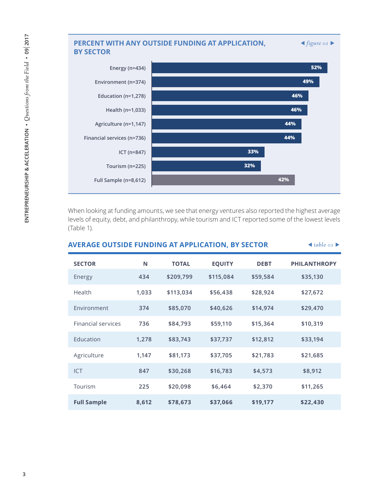### **PERCENT WITH ANY OUTSIDE FUNDING AT APPLICATION,**  $\blacktriangleleft$  **figure of**  $\blacktriangleright$ **BY SECTOR 44% 44% 46% 46% 49% 52% Financial services (n=736) Agriculture (n=1,147) Health (n=1,033) Education (n=1,278) Environment (n=374) Energy (n=434)**

When looking at funding amounts, we see that energy ventures also reported the highest average levels of equity, debt, and philanthropy, while tourism and ICT reported some of the lowest levels (Table 1).

**Full Sample (n=8,612)** 

**Tourism (n=225)** 

**ICT (n=847)** 

**42%** 

**32%** 

**33%** 

| <b>AVERAGE OUTSIDE FUNDING AT APPLICATION, BY SECTOR</b> | $\triangleleft$ table or $\triangleright$ |              |               |             |                     |
|----------------------------------------------------------|-------------------------------------------|--------------|---------------|-------------|---------------------|
| <b>SECTOR</b>                                            | N                                         | <b>TOTAL</b> | <b>EQUITY</b> | <b>DEBT</b> | <b>PHILANTHROPY</b> |
| Energy                                                   | 434                                       | \$209,799    | \$115,084     | \$59,584    | \$35,130            |
| Health                                                   | 1,033                                     | \$113,034    | \$56,438      | \$28,924    | \$27,672            |
| Environment                                              | 374                                       | \$85,070     | \$40,626      | \$14,974    | \$29,470            |
| <b>Financial services</b>                                | 736                                       | \$84,793     | \$59,110      | \$15,364    | \$10,319            |
| Education                                                | 1,278                                     | \$83,743     | \$37,737      | \$12,812    | \$33,194            |
| Agriculture                                              | 1,147                                     | \$81,173     | \$37,705      | \$21,783    | \$21,685            |
| <b>ICT</b>                                               | 847                                       | \$30,268     | \$16,783      | \$4,573     | \$8,912             |
| Tourism                                                  | 225                                       | \$20,098     | \$6,464       | \$2,370     | \$11,265            |
| <b>Full Sample</b>                                       | 8,612                                     | \$78,673     | \$37,066      | \$19,177    | \$22,430            |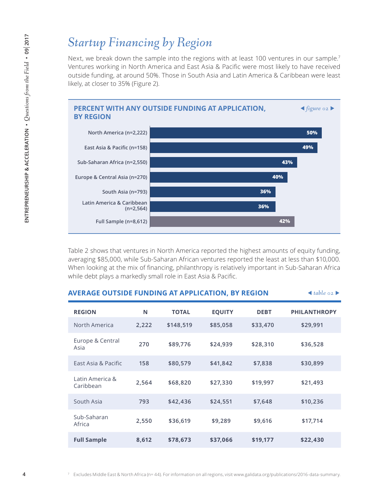### *Startup Financing by Region*

Next, we break down the sample into the regions with at least 100 ventures in our sample.<sup>7</sup> Ventures working in North America and East Asia & Pacific were most likely to have received outside funding, at around 50%. Those in South Asia and Latin America & Caribbean were least likely, at closer to 35% (Figure 2).



Table 2 shows that ventures in North America reported the highest amounts of equity funding, averaging \$85,000, while Sub-Saharan African ventures reported the least at less than \$10,000. When looking at the mix of financing, philanthropy is relatively important in Sub-Saharan Africa while debt plays a markedly small role in East Asia & Pacific.

| <b>AVERAGE OUTSIDE FUNDING AT APPLICATION, BY REGION</b> |       |              |               |             | $\triangleleft$ table 02 |
|----------------------------------------------------------|-------|--------------|---------------|-------------|--------------------------|
| <b>REGION</b>                                            | N     | <b>TOTAL</b> | <b>EQUITY</b> | <b>DEBT</b> | <b>PHILANTHROPY</b>      |
| North America                                            | 2,222 | \$148,519    | \$85,058      | \$33,470    | \$29,991                 |
| Europe & Central<br>Asia                                 | 270   | \$89,776     | \$24,939      | \$28,310    | \$36,528                 |
| East Asia & Pacific                                      | 158   | \$80,579     | \$41,842      | \$7,838     | \$30,899                 |
| Latin America &<br>Caribbean                             | 2,564 | \$68,820     | \$27,330      | \$19,997    | \$21,493                 |
| South Asia                                               | 793   | \$42,436     | \$24,551      | \$7,648     | \$10,236                 |
| Sub-Saharan<br>Africa                                    | 2,550 | \$36,619     | \$9,289       | \$9,616     | \$17,714                 |
| <b>Full Sample</b>                                       | 8,612 | \$78,673     | \$37,066      | \$19,177    | \$22,430                 |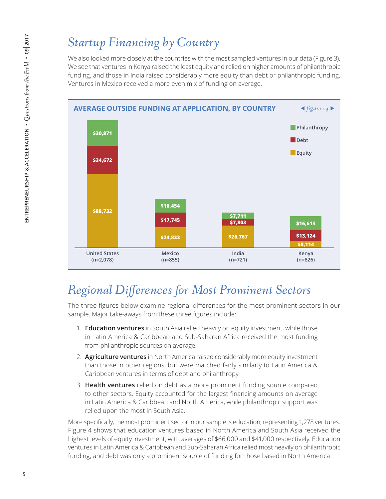## *Startup Financing by Country*

We also looked more closely at the countries with the most sampled ventures in our data (Figure 3). We see that ventures in Kenya raised the least equity and relied on higher amounts of philanthropic funding, and those in India raised considerably more equity than debt or philanthropic funding. Ventures in Mexico received a more even mix of funding on average.



### *Regional Differences for Most Prominent Sectors*

The three figures below examine regional differences for the most prominent sectors in our sample. Major take-aways from these three figures include:

- 1. **Education ventures** in South Asia relied heavily on equity investment, while those in Latin America & Caribbean and Sub-Saharan Africa received the most funding from philanthropic sources on average.
- 2. **Agriculture ventures** in North America raised considerably more equity investment than those in other regions, but were matched fairly similarly to Latin America & Caribbean ventures in terms of debt and philanthropy.
- 3. **Health ventures** relied on debt as a more prominent funding source compared to other sectors. Equity accounted for the largest financing amounts on average in Latin America & Caribbean and North America, while philanthropic support was relied upon the most in South Asia.

More specifically, the most prominent sector in our sample is education, representing 1,278 ventures. Figure 4 shows that education ventures based in North America and South Asia received the highest levels of equity investment, with averages of \$66,000 and \$41,000 respectively. Education ventures in Latin America & Caribbean and Sub-Saharan Africa relied most heavily on philanthropic funding, and debt was only a prominent source of funding for those based in North America.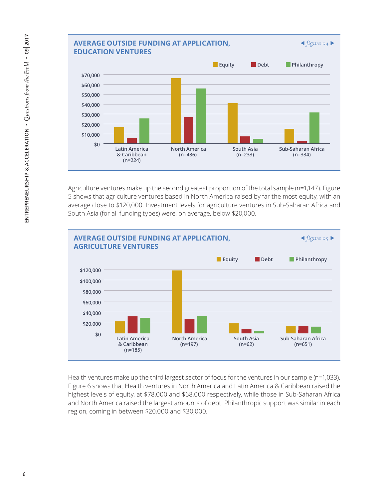

Agriculture ventures make up the second greatest proportion of the total sample (n=1,147). Figure 5 shows that agriculture ventures based in North America raised by far the most equity, with an average close to \$120,000. Investment levels for agriculture ventures in Sub-Saharan Africa and South Asia (for all funding types) were, on average, below \$20,000.



Health ventures make up the third largest sector of focus for the ventures in our sample (n=1,033). Figure 6 shows that Health ventures in North America and Latin America & Caribbean raised the highest levels of equity, at \$78,000 and \$68,000 respectively, while those in Sub-Saharan Africa and North America raised the largest amounts of debt. Philanthropic support was similar in each region, coming in between \$20,000 and \$30,000.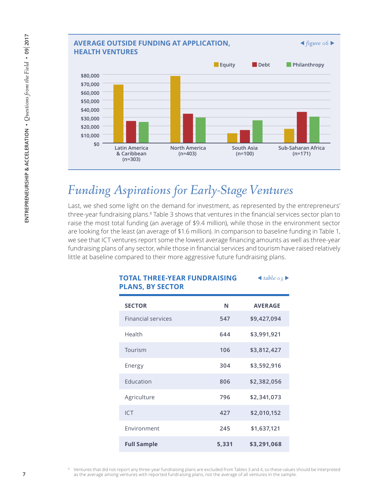

### *Funding Aspirations for Early-Stage Ventures*

Last, we shed some light on the demand for investment, as represented by the entrepreneurs' three-year fundraising plans.<sup>8</sup> Table 3 shows that ventures in the financial services sector plan to raise the most total funding (an average of \$9.4 million), while those in the environment sector are looking for the least (an average of \$1.6 million). In comparison to baseline funding in Table 1, we see that ICT ventures report some the lowest average financing amounts as well as three-year fundraising plans of any sector, while those in financial services and tourism have raised relatively little at baseline compared to their more aggressive future fundraising plans.

| <b>PLANS, BY SECTOR</b>   |       |                |
|---------------------------|-------|----------------|
| <b>SECTOR</b>             | N     | <b>AVERAGE</b> |
| <b>Financial services</b> | 547   | \$9,427,094    |
| Health                    | 644   | \$3,991,921    |
| Tourism                   | 106   | \$3,812,427    |
| Energy                    | 304   | \$3,592,916    |
| Education                 | 806   | \$2,382,056    |
| Agriculture               | 796   | \$2,341,073    |
| <b>ICT</b>                | 427   | \$2,010,152    |
| Environment               | 245   | \$1,637,121    |
| <b>Full Sample</b>        | 5,331 | \$3,291,068    |

### **TOTAL THREE-YEAR FUNDRAISING**  *table 03*  **PLANS, BY SECTOR**

8 Ventures that did not report any three-year fundraising plans are excluded from Tables 3 and 4, so these values should be interpreted as the average among ventures with reported fundraising plans, not the average of all ventures in the sample.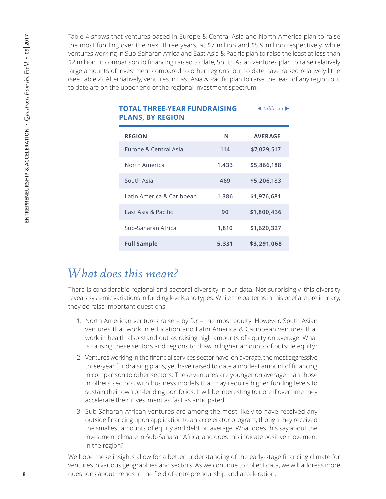Table 4 shows that ventures based in Europe & Central Asia and North America plan to raise the most funding over the next three years, at \$7 million and \$5.9 million respectively, while ventures working in Sub-Saharan Africa and East Asia & Pacific plan to raise the least at less than \$2 million. In comparison to financing raised to date, South Asian ventures plan to raise relatively large amounts of investment compared to other regions, but to date have raised relatively little (see Table 2). Alternatively, ventures in East Asia & Pacific plan to raise the least of any region but to date are on the upper end of the regional investment spectrum.

| <b>PLANS, BY REGION</b>   |       |                |  |  |  |
|---------------------------|-------|----------------|--|--|--|
| <b>REGION</b>             | N     | <b>AVERAGE</b> |  |  |  |
| Europe & Central Asia     | 114   | \$7,029,517    |  |  |  |
| North America             | 1,433 | \$5,866,188    |  |  |  |
| South Asia                | 469   | \$5,206,183    |  |  |  |
| Latin America & Caribbean | 1,386 | \$1,976,681    |  |  |  |
| Fast Asia & Pacific       | 90    | \$1,800,436    |  |  |  |
| Sub-Saharan Africa        | 1,810 | \$1,620,327    |  |  |  |
| <b>Full Sample</b>        | 5,331 | \$3,291,068    |  |  |  |

# **TOTAL THREE-YEAR FUNDRAISING**  *table 04*

### *What does this mean?*

There is considerable regional and sectoral diversity in our data. Not surprisingly, this diversity reveals systemic variations in funding levels and types. While the patterns in this brief are preliminary, they do raise important questions:

- 1. North American ventures raise by far the most equity. However, South Asian ventures that work in education and Latin America & Caribbean ventures that work in health also stand out as raising high amounts of equity on average. What is causing these sectors and regions to draw in higher amounts of outside equity?
- 2. Ventures working in the financial services sector have, on average, the most aggressive three-year fundraising plans, yet have raised to date a modest amount of financing in comparison to other sectors. These ventures are younger on average than those in others sectors, with business models that may require higher funding levels to sustain their own on-lending portfolios. It will be interesting to note if over time they accelerate their investment as fast as anticipated.
- 3. Sub-Saharan African ventures are among the most likely to have received any outside financing upon application to an accelerator program, though they received the smallest amounts of equity and debt on average. What does this say about the investment climate in Sub-Saharan Africa, and does this indicate positive movement in the region?

We hope these insights allow for a better understanding of the early-stage financing climate for ventures in various geographies and sectors. As we continue to collect data, we will address more questions about trends in the field of entrepreneurship and acceleration.